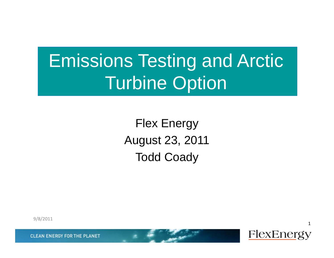# Emissions Testing and Arctic Turbine Option

Flex Energy August 23, 2011 Todd Coady

9/8/2011

**CLEAN ENERGY FOR THE PLANET** 

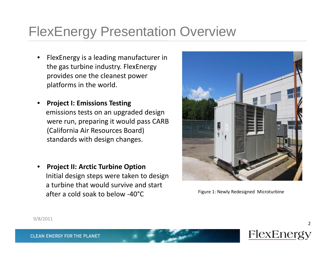#### FlexEnergy Presentation Overview

- •• FlexEnergy is a leading manufacturer in the gas turbine industry. FlexEnergy provides one the cleanest power platforms in the world.
- • **Project I: Emissions Testing** emissions tests on an upgraded design were run, preparing it would pass CARB (California Air Resources Board) standards with design changes.
- • **Project II: Arctic Turbine Option** Initial design steps were taken to design a turbine that would survive and start aftera cold soak to below ‐40°C



Figure 1: Newly Redesigned Microturbine



2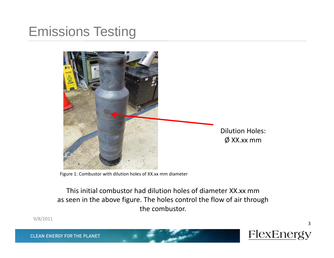

Figure 1: Combustor with dilution holes of XX.xx mm diameter

This initial combustor had dilution holes of diameter XX.xx mmas seen in the above figure. The holes control the flow of air through the combustor.

9/8/2011

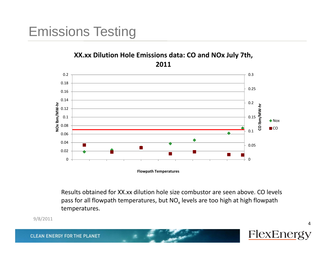



**Flowpath Temperatures**

Results obtained for XX.xx dilution hole size combustor are seen above. CO levels pass for all flowpath temperatures, but NO $_\mathrm{\star}$  levels are too high at high flowpath temperatures.

9/8/2011

**CLEAN ENERGY FOR THE PLANET** 

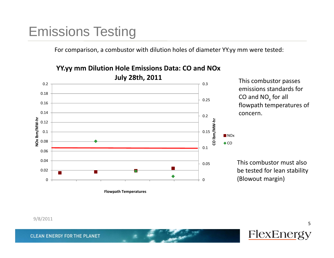For comparison, <sup>a</sup> combustor with dilution holes of diameter YY.yy mm were tested:



#### **YY.yy mm Dilution Hole Emissions Data: CO and NOx**

This combustor must alsobe tested for lean stability

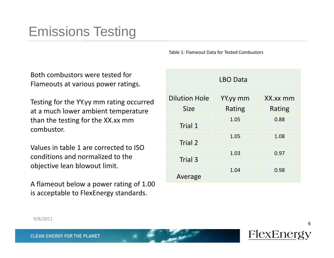Table 1: Flameout Data for Tested Combustors

Both combustors were tested for Flameouts at various power ratings.

Testing for the YY.yy mm rating occurred at a much lower ambient temperature than the testing for the XX.xx mm combustor.

Values in table 1 are corrected to ISOconditions and normalized to the objective lean blowout limit.

A flameout below <sup>a</sup> power rating of 1.00 is acceptable to FlexEnergy standards.

|                                     | <b>LBO Data</b>    |                    |
|-------------------------------------|--------------------|--------------------|
| <b>Dilution Hole</b><br><b>Size</b> | YY.yy mm<br>Rating | XX.xx mm<br>Rating |
| Trial 1                             | 1.05               | 0.88               |
| Trial 2                             | 1.05               | 1.08               |
| Trial 3                             | 1.03               | 0.97               |
| Average                             | 1.04               | 0.98               |

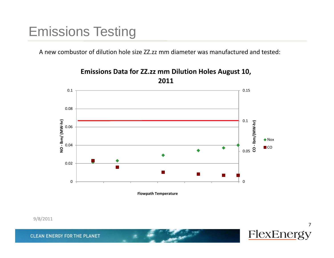A new combustor of dilution hole size ZZ.zz mm diameter was manufactured and tested:



**Emissions Data for ZZ.zz mm Dilution Holes August 10,**

**Flowpath Temperature**



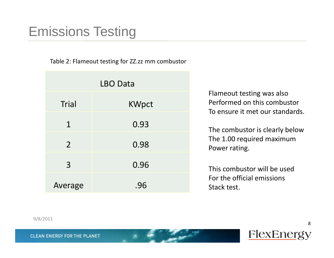Table 2: Flameout testing for ZZ.zz mm combustor

| <b>LBO Data</b> |              |  |
|-----------------|--------------|--|
| <b>Trial</b>    | <b>KWpct</b> |  |
| $\mathbf 1$     | 0.93         |  |
| 2 <sup>1</sup>  | 0.98         |  |
| $\overline{3}$  | 0.96         |  |
| Average         | .96          |  |

Flameout testing was also Performed on this combustor To ensure it met our standards.

The combustor is clearly below The 1.00 required maximum Power rating.

This combustor will be usedFor the official emissions Stack test.

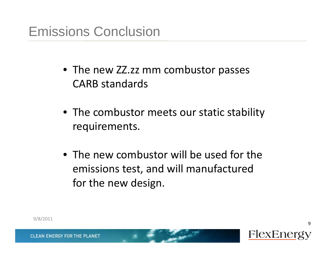#### Emissions Conclusion

- The new ZZ.zz mm combustor passes CARB standards
- The combustor meets our static stability requirements.
- The new combustor will be used for the emissions test, and will manufactured for the new design.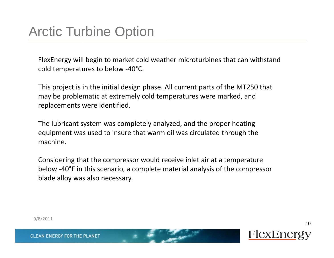FlexEnergy will begin to market cold weather microturbines that can withstand cold temperatures to below ‐40°C.

This project is in the initial design phase. All current parts of the MT250 that may be problematic at extremely cold temperatures were marked, and replacements were identified.

The lubricant system was completely analyzed, and the proper heating equipment was used to insure that warm oil was circulated through the machine.

Considering that the compressor would receive inlet air at a temperature below -40°F in this scenario, a complete material analysis of the compressor blade alloy was also necessary.

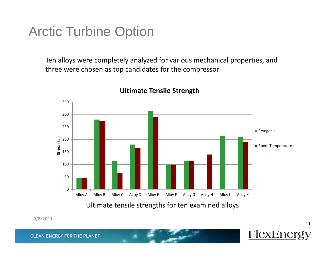## Arctic Turbine Option

Ten alloys were completely analyzed for various mechanical properties, and three were chosen as top candidates for the compressor



#### **Ultimate Tensile Strength**

9/8/2011

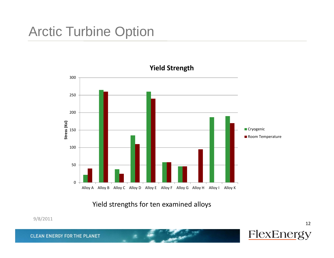#### Arctic Turbine Option



**Yield Strength**

Yield strengths for ten examined alloys

9/8/2011

**CLEAN ENERGY FOR THE PLANET** 

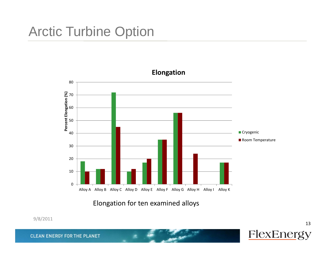

Elongation for ten examined alloys

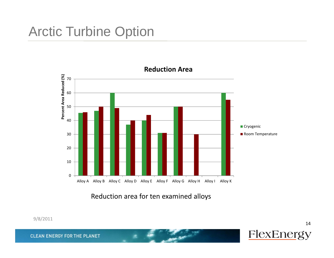

Reduction area for ten examined alloys

9/8/2011

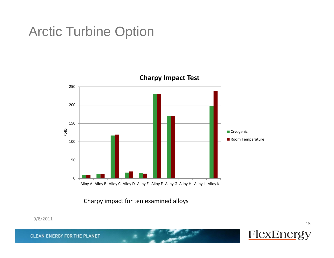

Charpy impact for ten examined alloys

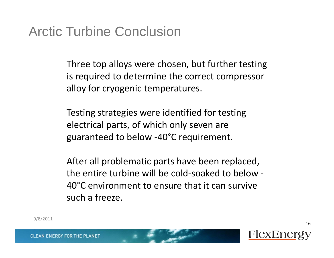Three top alloys were chosen, but further testing is required to determine the correct compressor alloy for cryogenic temperatures.

Testing strategies were identified for testing electrical parts, of which only seven are guaranteed to below ‐40°C requirement.

After all problematic parts have been replaced, the entire turbine will be cold‐soaked to below ‐ 40°C environment to ensure that it can survive such a freeze.

9/8/2011